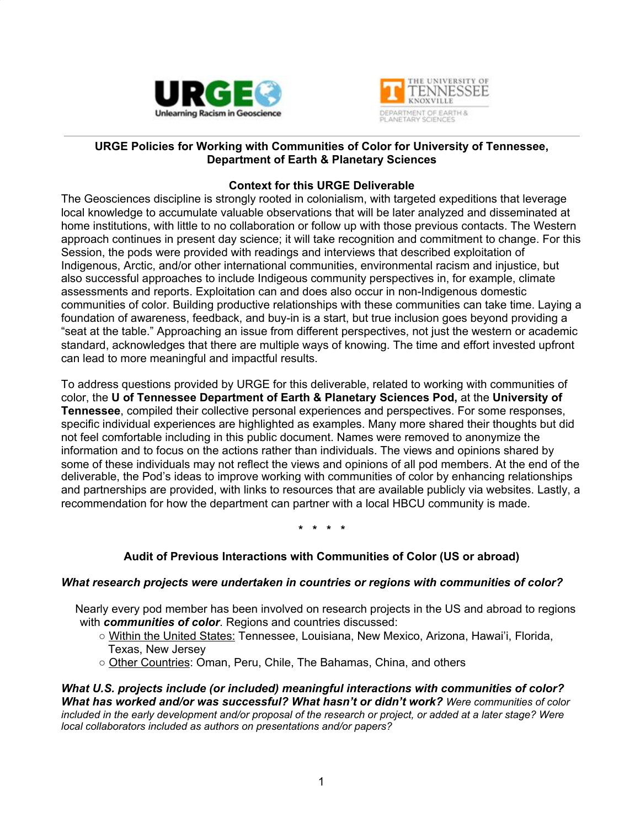



### **URGE Policies for Working with Communities of Color for University of Tennessee, Department of Earth & Planetary Sciences**

### **Context for this URGE Deliverable**

The Geosciences discipline is strongly rooted in colonialism, with targeted expeditions that leverage local knowledge to accumulate valuable observations that will be later analyzed and disseminated at home institutions, with little to no collaboration or follow up with those previous contacts. The Western approach continues in present day science; it will take recognition and commitment to change. For this Session, the pods were provided with readings and interviews that described exploitation of Indigenous, Arctic, and/or other international communities, environmental racism and injustice, but also successful approaches to include Indigeous community perspectives in, for example, climate assessments and reports. Exploitation can and does also occur in non-Indigenous domestic communities of color. Building productive relationships with these communities can take time. Laying a foundation of awareness, feedback, and buy-in is a start, but true inclusion goes beyond providing a "seat at the table." Approaching an issue from different perspectives, not just the western or academic standard, acknowledges that there are multiple ways of knowing. The time and effort invested upfront can lead to more meaningful and impactful results.

To address questions provided by URGE for this deliverable, related to working with communities of color, the **U of Tennessee Department of Earth & Planetary Sciences Pod,** at the **University of Tennessee**, compiled their collective personal experiences and perspectives. For some responses, specific individual experiences are highlighted as examples. Many more shared their thoughts but did not feel comfortable including in this public document. Names were removed to anonymize the information and to focus on the actions rather than individuals. The views and opinions shared by some of these individuals may not reflect the views and opinions of all pod members. At the end of the deliverable, the Pod's ideas to improve working with communities of color by enhancing relationships and partnerships are provided, with links to resources that are available publicly via websites. Lastly, a recommendation for how the department can partner with a local HBCU community is made.

**\* \* \* \***

# **Audit of Previous Interactions with Communities of Color (US or abroad)**

### *What research projects were undertaken in countries or regions with communities of color?*

Nearly every pod member has been involved on research projects in the US and abroad to regions with *communities of color*. Regions and countries discussed:

**○** Within the United States: Tennessee, Louisiana, New Mexico, Arizona, Hawai'i, Florida, Texas, New Jersey

**○** Other Countries: Oman, Peru, Chile, The Bahamas, China, and others

*What U.S. projects include (or included) meaningful interactions with communities of color? What has worked and/or was successful? What hasn't or didn't work? Were communities of color* included in the early development and/or proposal of the research or project, or added at a later stage? Were *local collaborators included as authors on presentations and/or papers?*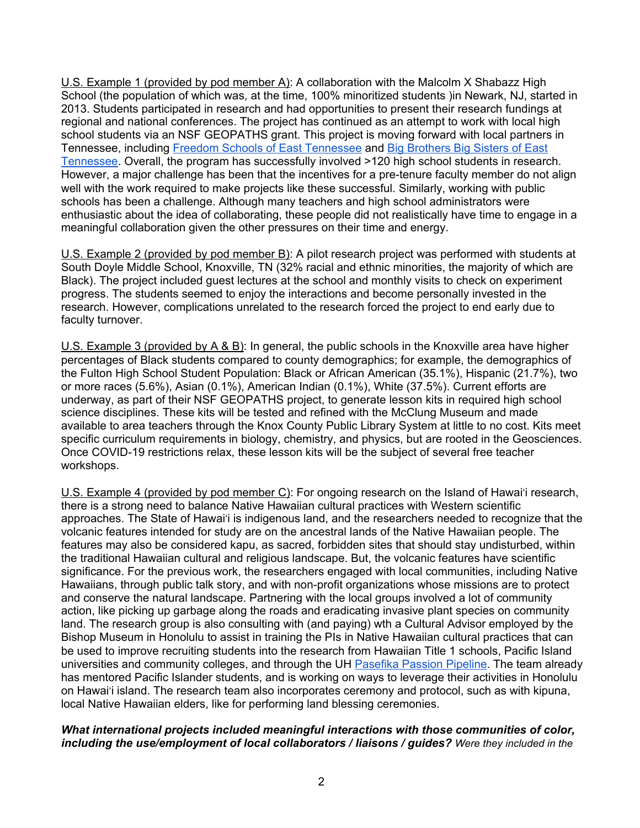U.S. Example 1 (provided by pod member A): A collaboration with the Malcolm X Shabazz High School (the population of which was, at the time, 100% minoritized students )in Newark, NJ, started in 2013. Students participated in research and had opportunities to present their research fundings at regional and national conferences. The project has continued as an attempt to work with local high school students via an NSF GEOPATHS grant. This project is moving forward with local partners in Tennessee, including Freedom Schools of East [Tennessee](https://www.easttnfreedomschools.com/) and Big [Brothers](https://www.tennesseebig.org/) Big Sisters of East [Tennessee.](https://www.tennesseebig.org/) Overall, the program has successfully involved >120 high school students in research. However, a major challenge has been that the incentives for a pre-tenure faculty member do not align well with the work required to make projects like these successful. Similarly, working with public schools has been a challenge. Although many teachers and high school administrators were enthusiastic about the idea of collaborating, these people did not realistically have time to engage in a meaningful collaboration given the other pressures on their time and energy.

U.S. Example 2 (provided by pod member B): A pilot research project was performed with students at South Doyle Middle School, Knoxville, TN (32% racial and ethnic minorities, the majority of which are Black). The project included guest lectures at the school and monthly visits to check on experiment progress. The students seemed to enjoy the interactions and become personally invested in the research. However, complications unrelated to the research forced the project to end early due to faculty turnover.

U.S. Example 3 (provided by A & B): In general, the public schools in the Knoxville area have higher percentages of Black students compared to county demographics; for example, the demographics of the Fulton High School Student Population: Black or African American (35.1%), Hispanic (21.7%), two or more races (5.6%), Asian (0.1%), American Indian (0.1%), White (37.5%). Current efforts are underway, as part of their NSF GEOPATHS project, to generate lesson kits in required high school science disciplines. These kits will be tested and refined with the McClung Museum and made available to area teachers through the Knox County Public Library System at little to no cost. Kits meet specific curriculum requirements in biology, chemistry, and physics, but are rooted in the Geosciences. Once COVID-19 restrictions relax, these lesson kits will be the subject of several free teacher workshops.

U.S. Example 4 (provided by pod member C): For ongoing research on the Island of Hawai'i research, there is a strong need to balance Native Hawaiian cultural practices with Western scientific approaches. The State of Hawai'i is indigenous land, and the researchers needed to recognize that the volcanic features intended for study are on the ancestral lands of the Native Hawaiian people. The features may also be considered kapu, as sacred, forbidden sites that should stay undisturbed, within the traditional Hawaiian cultural and religious landscape. But, the volcanic features have scientific significance. For the previous work, the researchers engaged with local communities, including Native Hawaiians, through public talk story, and with non-profit organizations whose missions are to protect and conserve the natural landscape. Partnering with the local groups involved a lot of community action, like picking up garbage along the roads and eradicating invasive plant species on community land. The research group is also consulting with (and paying) wth a Cultural Advisor employed by the Bishop Museum in Honolulu to assist in training the PIs in Native Hawaiian cultural practices that can be used to improve recruiting students into the research from Hawaiian Title 1 schools, Pacific Island universities and community colleges, and through the UH [Pasefika](http://www.manoa.hawaii.edu/omsspasefika/) Passion Pipeline. The team already has mentored Pacific Islander students, and is working on ways to leverage their activities in Honolulu on Hawai'i island. The research team also incorporates ceremony and protocol, such as with kipuna, local Native Hawaiian elders, like for performing land blessing ceremonies.

### *What international projects included meaningful interactions with those communities of color, including the use/employment of local collaborators / liaisons / guides? Were they included in the*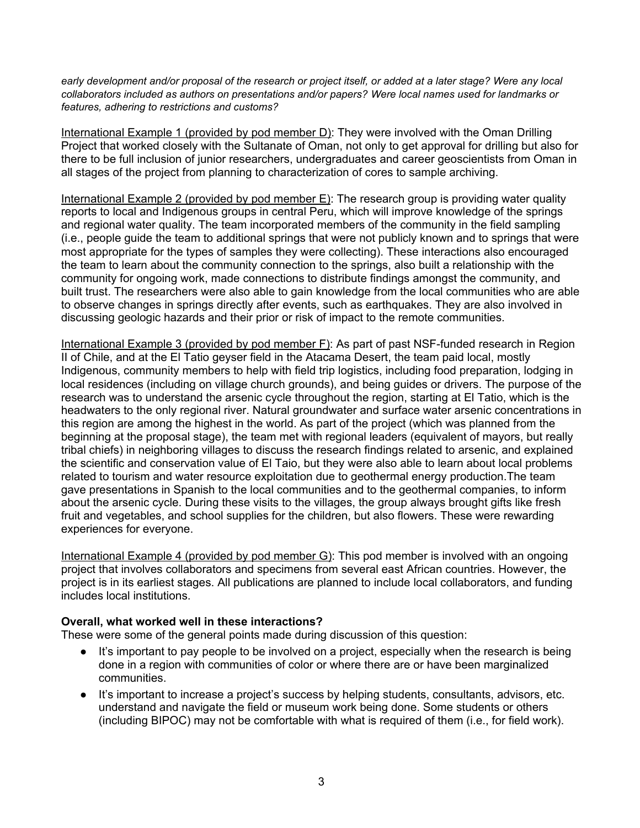early development and/or proposal of the research or project itself, or added at a later stage? Were any local *collaborators included as authors on presentations and/or papers? Were local names used for landmarks or features, adhering to restrictions and customs?*

International Example 1 (provided by pod member D): They were involved with the Oman Drilling Project that worked closely with the Sultanate of Oman, not only to get approval for drilling but also for there to be full inclusion of junior researchers, undergraduates and career geoscientists from Oman in all stages of the project from planning to characterization of cores to sample archiving.

International Example 2 (provided by pod member E): The research group is providing water quality reports to local and Indigenous groups in central Peru, which will improve knowledge of the springs and regional water quality. The team incorporated members of the community in the field sampling (i.e., people guide the team to additional springs that were not publicly known and to springs that were most appropriate for the types of samples they were collecting). These interactions also encouraged the team to learn about the community connection to the springs, also built a relationship with the community for ongoing work, made connections to distribute findings amongst the community, and built trust. The researchers were also able to gain knowledge from the local communities who are able to observe changes in springs directly after events, such as earthquakes. They are also involved in discussing geologic hazards and their prior or risk of impact to the remote communities.

International Example 3 (provided by pod member F): As part of past NSF-funded research in Region II of Chile, and at the El Tatio geyser field in the Atacama Desert, the team paid local, mostly Indigenous, community members to help with field trip logistics, including food preparation, lodging in local residences (including on village church grounds), and being guides or drivers. The purpose of the research was to understand the arsenic cycle throughout the region, starting at El Tatio, which is the headwaters to the only regional river. Natural groundwater and surface water arsenic concentrations in this region are among the highest in the world. As part of the project (which was planned from the beginning at the proposal stage), the team met with regional leaders (equivalent of mayors, but really tribal chiefs) in neighboring villages to discuss the research findings related to arsenic, and explained the scientific and conservation value of El Taio, but they were also able to learn about local problems related to tourism and water resource exploitation due to geothermal energy production.The team gave presentations in Spanish to the local communities and to the geothermal companies, to inform about the arsenic cycle. During these visits to the villages, the group always brought gifts like fresh fruit and vegetables, and school supplies for the children, but also flowers. These were rewarding experiences for everyone.

International Example 4 (provided by pod member G): This pod member is involved with an ongoing project that involves collaborators and specimens from several east African countries. However, the project is in its earliest stages. All publications are planned to include local collaborators, and funding includes local institutions.

### **Overall, what worked well in these interactions?**

These were some of the general points made during discussion of this question:

- It's important to pay people to be involved on a project, especially when the research is being done in a region with communities of color or where there are or have been marginalized communities.
- It's important to increase a project's success by helping students, consultants, advisors, etc. understand and navigate the field or museum work being done. Some students or others (including BIPOC) may not be comfortable with what is required of them (i.e., for field work).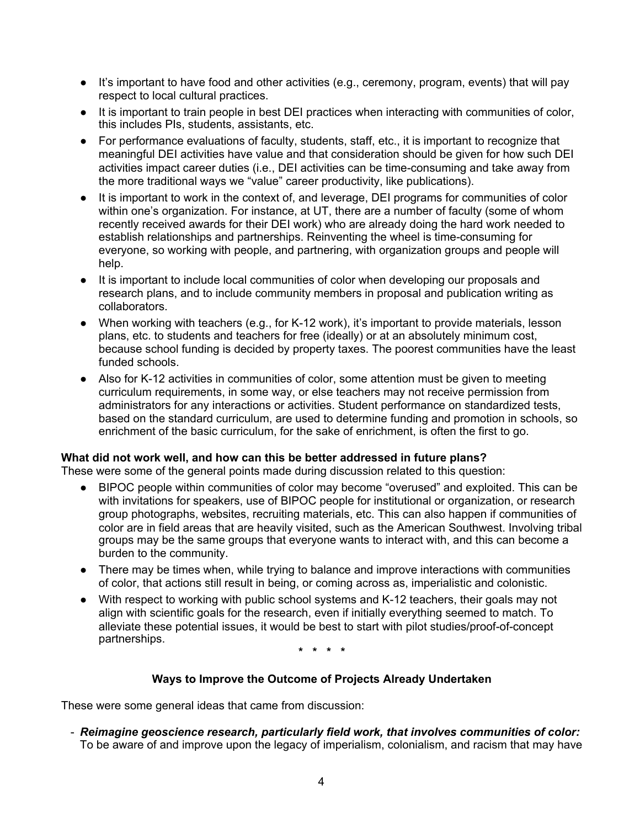- It's important to have food and other activities (e.g., ceremony, program, events) that will pay respect to local cultural practices.
- It is important to train people in best DEI practices when interacting with communities of color, this includes PIs, students, assistants, etc.
- For performance evaluations of faculty, students, staff, etc., it is important to recognize that meaningful DEI activities have value and that consideration should be given for how such DEI activities impact career duties (i.e., DEI activities can be time-consuming and take away from the more traditional ways we "value" career productivity, like publications).
- It is important to work in the context of, and leverage, DEI programs for communities of color within one's organization. For instance, at UT, there are a number of faculty (some of whom recently received awards for their DEI work) who are already doing the hard work needed to establish relationships and partnerships. Reinventing the wheel is time-consuming for everyone, so working with people, and partnering, with organization groups and people will help.
- It is important to include local communities of color when developing our proposals and research plans, and to include community members in proposal and publication writing as collaborators.
- When working with teachers (e.g., for K-12 work), it's important to provide materials, lesson plans, etc. to students and teachers for free (ideally) or at an absolutely minimum cost, because school funding is decided by property taxes. The poorest communities have the least funded schools.
- Also for K-12 activities in communities of color, some attention must be given to meeting curriculum requirements, in some way, or else teachers may not receive permission from administrators for any interactions or activities. Student performance on standardized tests, based on the standard curriculum, are used to determine funding and promotion in schools, so enrichment of the basic curriculum, for the sake of enrichment, is often the first to go.

### **What did not work well, and how can this be better addressed in future plans?**

These were some of the general points made during discussion related to this question:

- BIPOC people within communities of color may become "overused" and exploited. This can be with invitations for speakers, use of BIPOC people for institutional or organization, or research group photographs, websites, recruiting materials, etc. This can also happen if communities of color are in field areas that are heavily visited, such as the American Southwest. Involving tribal groups may be the same groups that everyone wants to interact with, and this can become a burden to the community.
- There may be times when, while trying to balance and improve interactions with communities of color, that actions still result in being, or coming across as, imperialistic and colonistic.
- With respect to working with public school systems and K-12 teachers, their goals may not align with scientific goals for the research, even if initially everything seemed to match. To alleviate these potential issues, it would be best to start with pilot studies/proof-of-concept partnerships.

**\* \* \* \***

### **Ways to Improve the Outcome of Projects Already Undertaken**

These were some general ideas that came from discussion:

- *Reimagine geoscience research, particularly field work, that involves communities of color:* To be aware of and improve upon the legacy of imperialism, colonialism, and racism that may have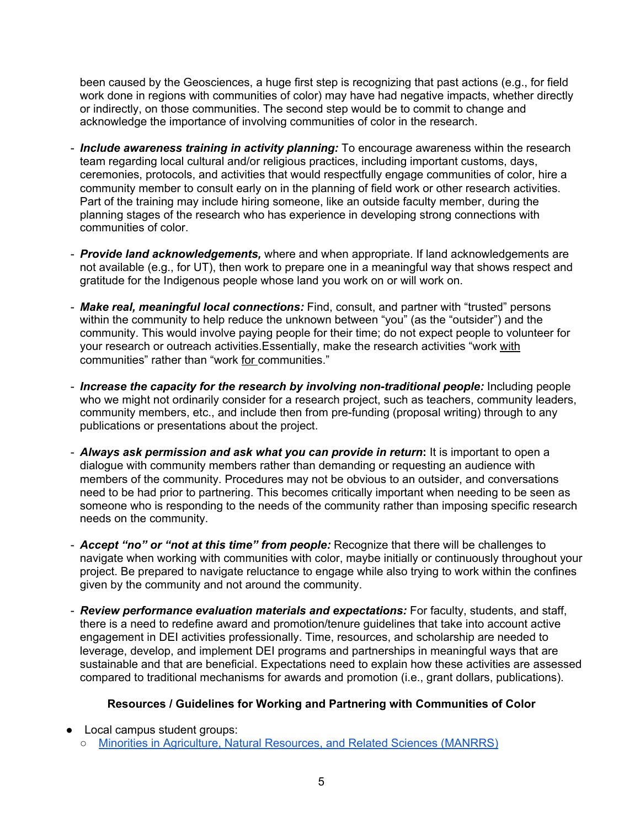been caused by the Geosciences, a huge first step is recognizing that past actions (e.g., for field work done in regions with communities of color) may have had negative impacts, whether directly or indirectly, on those communities. The second step would be to commit to change and acknowledge the importance of involving communities of color in the research.

- *Include awareness training in activity planning:* To encourage awareness within the research team regarding local cultural and/or religious practices, including important customs, days, ceremonies, protocols, and activities that would respectfully engage communities of color, hire a community member to consult early on in the planning of field work or other research activities. Part of the training may include hiring someone, like an outside faculty member, during the planning stages of the research who has experience in developing strong connections with communities of color.
- *Provide land acknowledgements,* where and when appropriate. If land acknowledgements are not available (e.g., for UT), then work to prepare one in a meaningful way that shows respect and gratitude for the Indigenous people whose land you work on or will work on.
- *Make real, meaningful local connections:* Find, consult, and partner with "trusted" persons within the community to help reduce the unknown between "you" (as the "outsider") and the community. This would involve paying people for their time; do not expect people to volunteer for your research or outreach activities.Essentially, make the research activities "work with communities" rather than "work for communities."
- *Increase the capacity for the research by involving non-traditional people:* Including people who we might not ordinarily consider for a research project, such as teachers, community leaders, community members, etc., and include then from pre-funding (proposal writing) through to any publications or presentations about the project.
- *Always ask permission and ask what you can provide in return***:** It is important to open a dialogue with community members rather than demanding or requesting an audience with members of the community. Procedures may not be obvious to an outsider, and conversations need to be had prior to partnering. This becomes critically important when needing to be seen as someone who is responding to the needs of the community rather than imposing specific research needs on the community.
- *Accept "no" or "not at this time" from people:* Recognize that there will be challenges to navigate when working with communities with color, maybe initially or continuously throughout your project. Be prepared to navigate reluctance to engage while also trying to work within the confines given by the community and not around the community.
- *Review performance evaluation materials and expectations:* For faculty, students, and staff, there is a need to redefine award and promotion/tenure guidelines that take into account active engagement in DEI activities professionally. Time, resources, and scholarship are needed to leverage, develop, and implement DEI programs and partnerships in meaningful ways that are sustainable and that are beneficial. Expectations need to explain how these activities are assessed compared to traditional mechanisms for awards and promotion (i.e., grant dollars, publications).

# **Resources / Guidelines for Working and Partnering with Communities of Color**

- Local campus student groups:
	- Minorities in Agriculture, Natural [Resources,](https://utk.collegiatelink.net/organization/MANRRS) and Related Sciences (MANRRS)